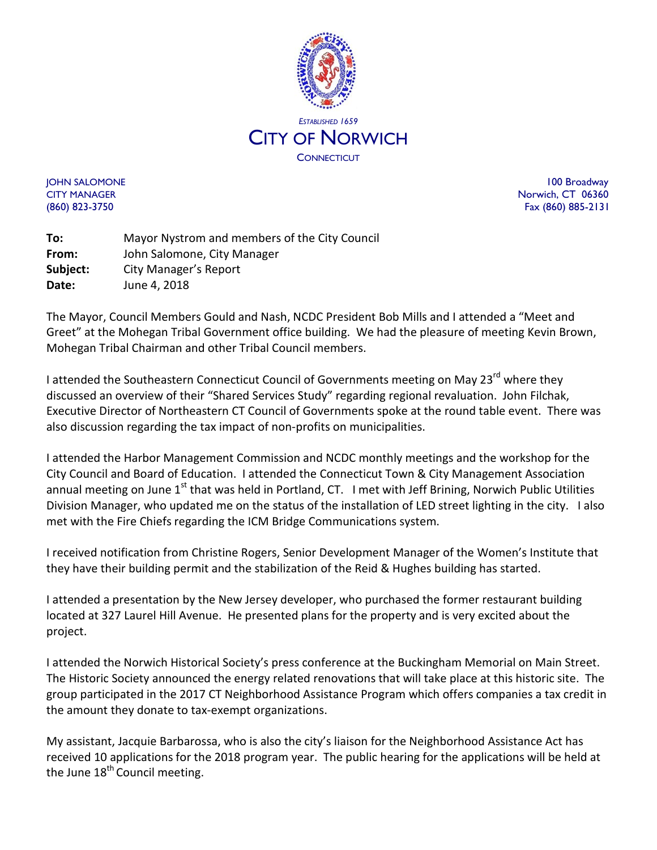

JOHN SALOMONE 100 Broadway CITY MANAGER Norwich, CT 06360 (860) 823-3750 Fax (860) 885-2131

**To:** Mayor Nystrom and members of the City Council **From:** John Salomone, City Manager **Subject:** City Manager's Report **Date:** June 4, 2018

The Mayor, Council Members Gould and Nash, NCDC President Bob Mills and I attended a "Meet and Greet" at the Mohegan Tribal Government office building. We had the pleasure of meeting Kevin Brown, Mohegan Tribal Chairman and other Tribal Council members.

I attended the Southeastern Connecticut Council of Governments meeting on May 23<sup>rd</sup> where they discussed an overview of their "Shared Services Study" regarding regional revaluation. John Filchak, Executive Director of Northeastern CT Council of Governments spoke at the round table event. There was also discussion regarding the tax impact of non-profits on municipalities.

I attended the Harbor Management Commission and NCDC monthly meetings and the workshop for the City Council and Board of Education. I attended the Connecticut Town & City Management Association annual meeting on June  $1<sup>st</sup>$  that was held in Portland, CT. I met with Jeff Brining, Norwich Public Utilities Division Manager, who updated me on the status of the installation of LED street lighting in the city. I also met with the Fire Chiefs regarding the ICM Bridge Communications system.

I received notification from Christine Rogers, Senior Development Manager of the Women's Institute that they have their building permit and the stabilization of the Reid & Hughes building has started.

I attended a presentation by the New Jersey developer, who purchased the former restaurant building located at 327 Laurel Hill Avenue. He presented plans for the property and is very excited about the project.

I attended the Norwich Historical Society's press conference at the Buckingham Memorial on Main Street. The Historic Society announced the energy related renovations that will take place at this historic site. The group participated in the 2017 CT Neighborhood Assistance Program which offers companies a tax credit in the amount they donate to tax-exempt organizations.

My assistant, Jacquie Barbarossa, who is also the city's liaison for the Neighborhood Assistance Act has received 10 applications for the 2018 program year. The public hearing for the applications will be held at the June  $18<sup>th</sup>$  Council meeting.